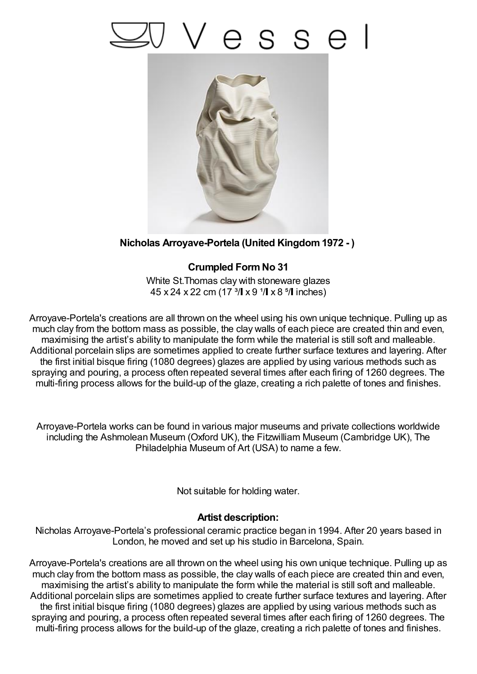## esse



## **Nicholas Arroyave-Portela (United Kingdom1972 - )**

## **Crumpled FormNo 31**

White St.Thomas clay with stoneware glazes  $45 \times 24 \times 22$  cm (17<sup>3</sup>/ $\vert x \vert 9$ <sup>1</sup>/ $\vert x \vert 8$ <sup>5</sup>/ $\vert$  inches)

Arroyave-Portela's creations are all thrown on the wheel using his own unique technique. Pulling up as much clay from the bottom mass as possible, the clay walls of each piece are created thin and even, maximising the artist's ability to manipulate the form while the material is still soft and malleable. Additional porcelain slips are sometimes applied to create further surface textures and layering. After the first initial bisque firing (1080 degrees) glazes are applied by using various methods such as spraying and pouring, a process often repeated several times after each firing of 1260 degrees. The multi-firing process allows for the build-up of the glaze, creating a rich palette of tones and finishes.

Arroyave-Portela works can be found in various major museums and private collections worldwide including the Ashmolean Museum (Oxford UK), the Fitzwilliam Museum (Cambridge UK), The Philadelphia Museum of Art (USA) to name a few.

Not suitable for holding water.

## **Artist description:**

Nicholas Arroyave-Portela's professional ceramic practice began in 1994. After 20 years based in London, he moved and set up his studio in Barcelona, Spain.

Arroyave-Portela's creations are all thrown on the wheel using his own unique technique. Pulling up as much clay from the bottom mass as possible, the clay walls of each piece are created thin and even, maximising the artist's ability to manipulate the form while the material is still soft and malleable. Additional porcelain slips are sometimes applied to create further surface textures and layering. After the first initial bisque firing (1080 degrees) glazes are applied by using various methods such as spraying and pouring, a process often repeated several times after each firing of 1260 degrees. The multi-firing process allows for the build-up of the glaze, creating a rich palette of tones and finishes.